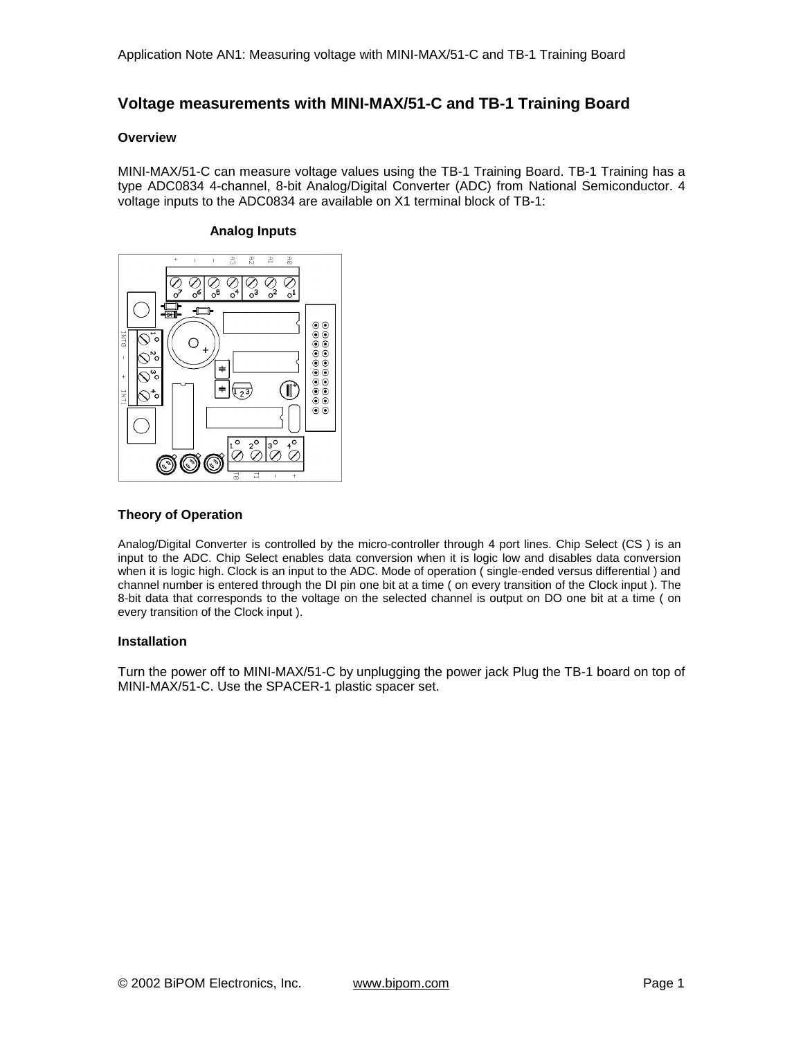# **Voltage measurements with MINI-MAX/51-C and TB-1 Training Board**

#### **Overview**

MINI-MAX/51-C can measure voltage values using the TB-1 Training Board. TB-1 Training has a type ADC0834 4-channel, 8-bit Analog/Digital Converter (ADC) from National Semiconductor. 4 voltage inputs to the ADC0834 are available on X1 terminal block of TB-1:

#### **Analog Inputs**



## **Theory of Operation**

Analog/Digital Converter is controlled by the micro-controller through 4 port lines. Chip Select (CS ) is an input to the ADC. Chip Select enables data conversion when it is logic low and disables data conversion when it is logic high. Clock is an input to the ADC. Mode of operation ( single-ended versus differential ) and channel number is entered through the DI pin one bit at a time ( on every transition of the Clock input ). The 8-bit data that corresponds to the voltage on the selected channel is output on DO one bit at a time ( on every transition of the Clock input ).

# **Installation**

Turn the power off to MINI-MAX/51-C by unplugging the power jack Plug the TB-1 board on top of MINI-MAX/51-C. Use the SPACER-1 plastic spacer set.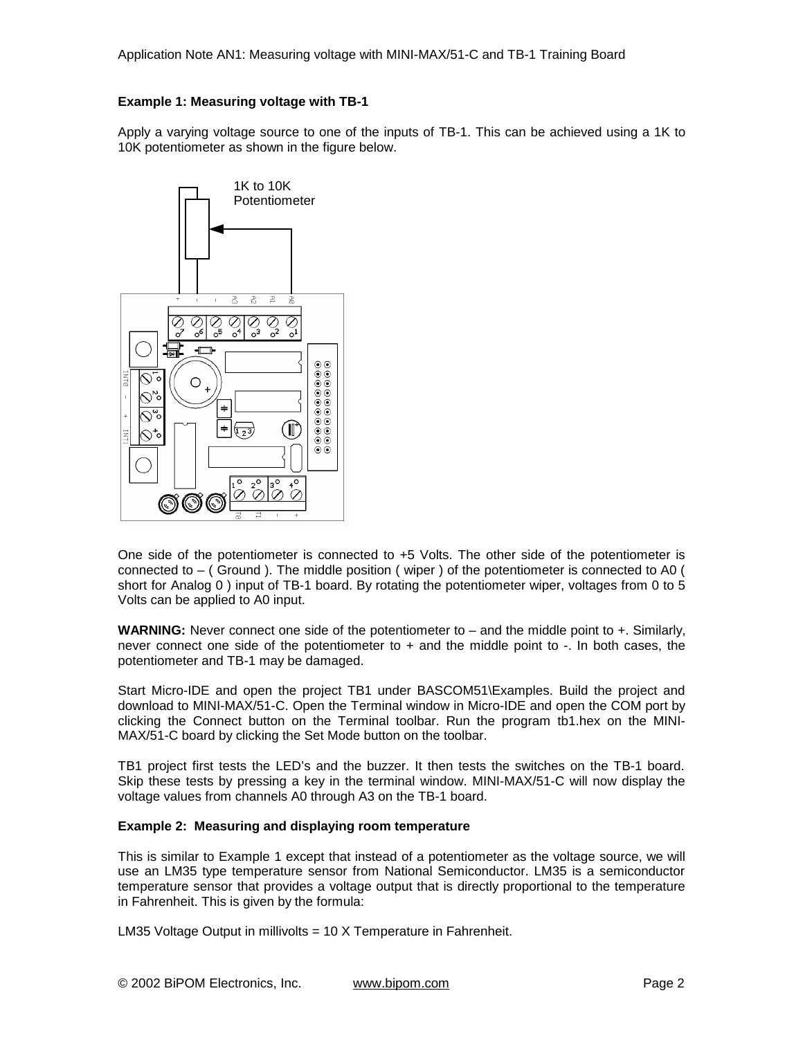# **Example 1: Measuring voltage with TB-1**

Apply a varying voltage source to one of the inputs of TB-1. This can be achieved using a 1K to 10K potentiometer as shown in the figure below.



One side of the potentiometer is connected to +5 Volts. The other side of the potentiometer is connected to – ( Ground ). The middle position ( wiper ) of the potentiometer is connected to A0 ( short for Analog 0 ) input of TB-1 board. By rotating the potentiometer wiper, voltages from 0 to 5 Volts can be applied to A0 input.

**WARNING:** Never connect one side of the potentiometer to – and the middle point to +. Similarly, never connect one side of the potentiometer to  $+$  and the middle point to  $-$ . In both cases, the potentiometer and TB-1 may be damaged.

Start Micro-IDE and open the project TB1 under BASCOM51\Examples. Build the project and download to MINI-MAX/51-C. Open the Terminal window in Micro-IDE and open the COM port by clicking the Connect button on the Terminal toolbar. Run the program tb1.hex on the MINI-MAX/51-C board by clicking the Set Mode button on the toolbar.

TB1 project first tests the LED's and the buzzer. It then tests the switches on the TB-1 board. Skip these tests by pressing a key in the terminal window. MINI-MAX/51-C will now display the voltage values from channels A0 through A3 on the TB-1 board.

### **Example 2: Measuring and displaying room temperature**

This is similar to Example 1 except that instead of a potentiometer as the voltage source, we will use an LM35 type temperature sensor from National Semiconductor. LM35 is a semiconductor temperature sensor that provides a voltage output that is directly proportional to the temperature in Fahrenheit. This is given by the formula:

LM35 Voltage Output in millivolts = 10 X Temperature in Fahrenheit.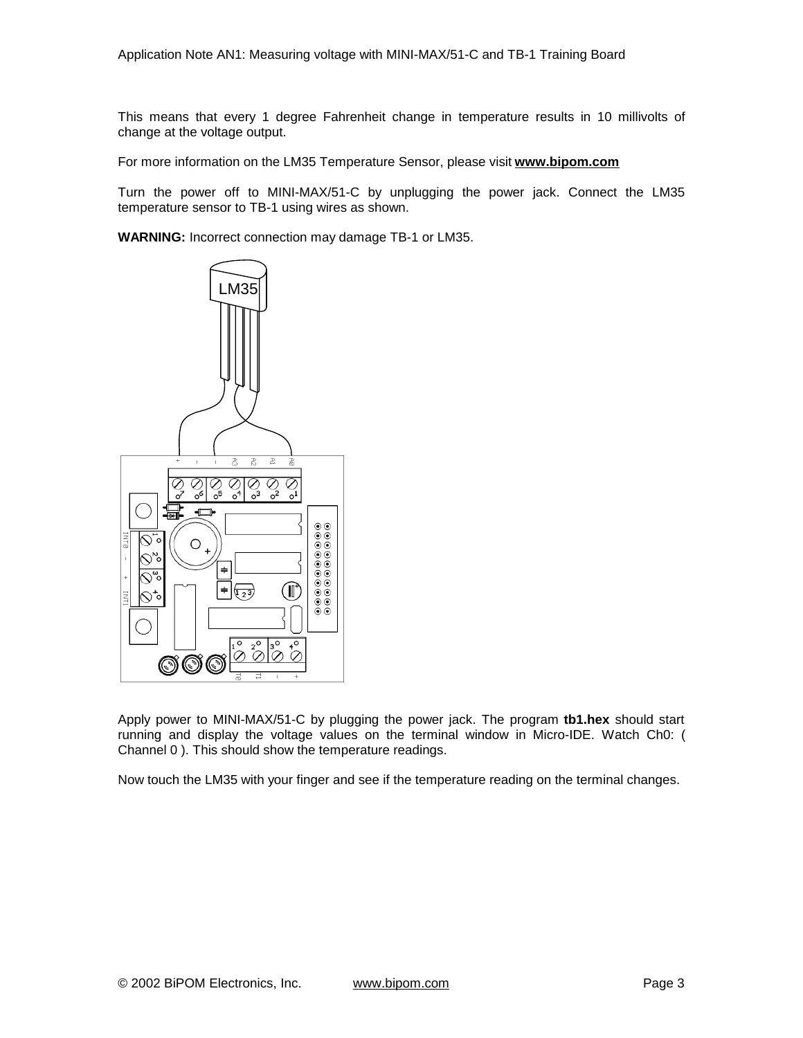This means that every 1 degree Fahrenheit change in temperature results in 10 millivolts of change at the voltage output.

For more information on the LM35 Temperature Sensor, please visit **[www.bipom.com](http://www.bipom.com)**

Turn the power off to MINI-MAX/51-C by unplugging the power jack. Connect the LM35 temperature sensor to TB-1 using wires as shown.

**WARNING:** Incorrect connection may damage TB-1 or LM35.



Apply power to MINI-MAX/51-C by plugging the power jack. The program **tb1.hex** should start running and display the voltage values on the terminal window in Micro-IDE. Watch Ch0: ( Channel 0 ). This should show the temperature readings.

Now touch the LM35 with your finger and see if the temperature reading on the terminal changes.